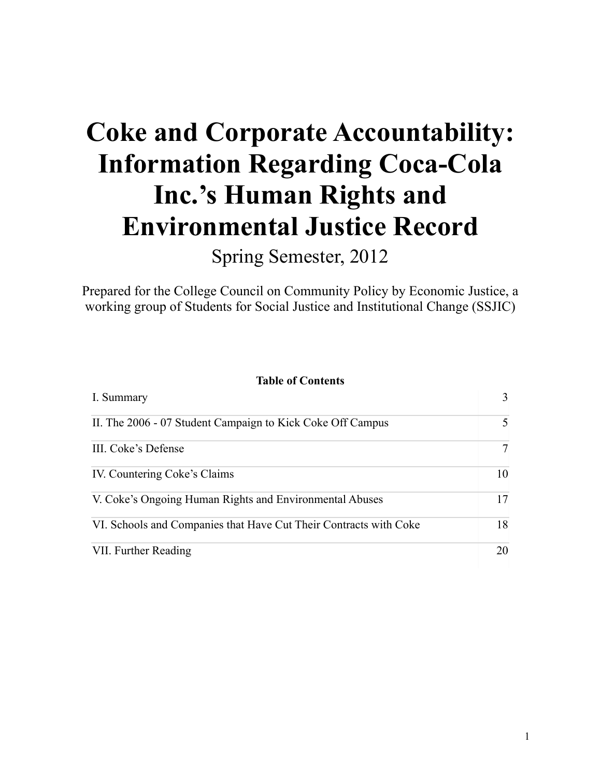# **Coke and Corporate Accountability: Information Regarding Coca-Cola Inc.'s Human Rights and Environmental Justice Record**

Spring Semester, 2012

Prepared for the College Council on Community Policy by Economic Justice, a working group of Students for Social Justice and Institutional Change (SSJIC)

#### **Table of Contents**

| I. Summary                                                        | 3                           |
|-------------------------------------------------------------------|-----------------------------|
| II. The 2006 - 07 Student Campaign to Kick Coke Off Campus        | $\mathcal{F}_{\mathcal{F}}$ |
| III. Coke's Defense                                               | 7                           |
| IV. Countering Coke's Claims                                      | 10                          |
| V. Coke's Ongoing Human Rights and Environmental Abuses           | 17                          |
| VI. Schools and Companies that Have Cut Their Contracts with Coke | 18                          |
| VII. Further Reading                                              | 20                          |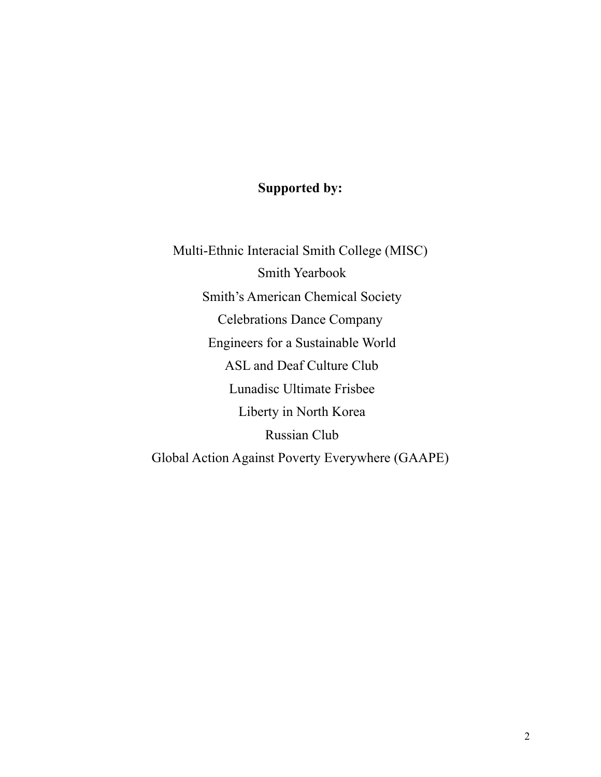# **Supported by:**

Multi-Ethnic Interacial Smith College (MISC) Smith Yearbook Smith's American Chemical Society Celebrations Dance Company Engineers for a Sustainable World ASL and Deaf Culture Club Lunadisc Ultimate Frisbee Liberty in North Korea Russian Club Global Action Against Poverty Everywhere (GAAPE)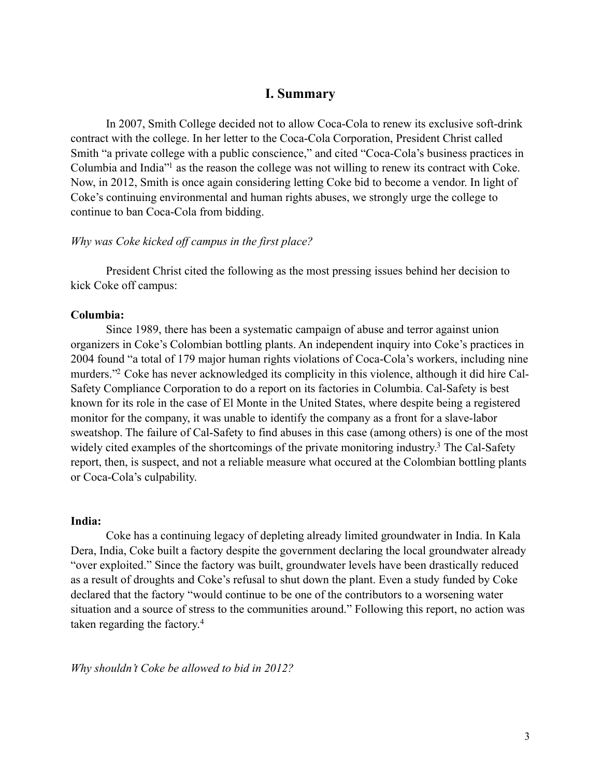# **I. Summary**

In 2007, Smith College decided not to allow Coca-Cola to renew its exclusive soft-drink contract with the college. In her letter to the Coca-Cola Corporation, President Christ called Smith "a private college with a public conscience," and cited "Coca-Cola's business practices in Columbia and India["1](#page-20-0) as the reason the college was not willing to renew its contract with Coke. Now, in 2012, Smith is once again considering letting Coke bid to become a vendor. In light of Coke's continuing environmental and human rights abuses, we strongly urge the college to continue to ban Coca-Cola from bidding.

## *Why was Coke kicked off campus in the first place?*

 President Christ cited the following as the most pressing issues behind her decision to kick Coke off campus:

## **Columbia:**

 Since 1989, there has been a systematic campaign of abuse and terror against union organizers in Coke's Colombian bottling plants. An independent inquiry into Coke's practices in 2004 found "a total of 179 major human rights violations of Coca-Cola's workers, including nine murders.["2](#page-20-1) Coke has never acknowledged its complicity in this violence, although it did hire Cal-Safety Compliance Corporation to do a report on its factories in Columbia. Cal-Safety is best known for its role in the case of El Monte in the United States, where despite being a registered monitor for the company, it was unable to identify the company as a front for a slave-labor sweatshop. The failure of Cal-Safety to find abuses in this case (among others) is one of the most widely cited examples of the shortcomings of the private monitoring industry.<sup>3</sup> The Cal-Safety report, then, is suspect, and not a reliable measure what occured at the Colombian bottling plants or Coca-Cola's culpability.

#### **India:**

 Coke has a continuing legacy of depleting already limited groundwater in India. In Kala Dera, India, Coke built a factory despite the government declaring the local groundwater already "over exploited." Since the factory was built, groundwater levels have been drastically reduced as a result of droughts and Coke's refusal to shut down the plant. Even a study funded by Coke declared that the factory "would continue to be one of the contributors to a worsening water situation and a source of stress to the communities around." Following this report, no action was taken regarding the factory.[4](#page-20-3)

*Why shouldn't Coke be allowed to bid in 2012?*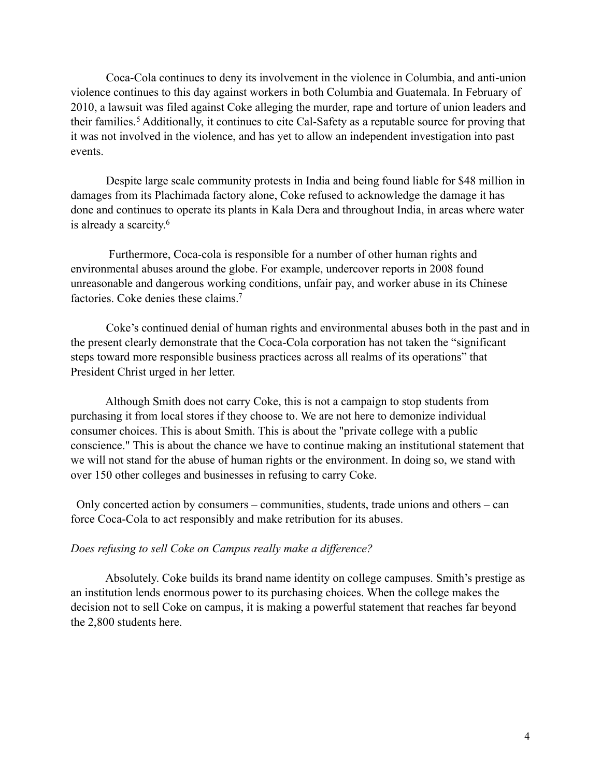Coca-Cola continues to deny its involvement in the violence in Columbia, and anti-union violence continues to this day against workers in both Columbia and Guatemala. In February of 2010, a lawsuit was filed against Coke alleging the murder, rape and torture of union leaders and their families.[5](#page-20-4) Additionally, it continues to cite Cal-Safety as a reputable source for proving that it was not involved in the violence, and has yet to allow an independent investigation into past events.

 Despite large scale community protests in India and being found liable for \$48 million in damages from its Plachimada factory alone, Coke refused to acknowledge the damage it has done and continues to operate its plants in Kala Dera and throughout India, in areas where water is already a scarcity[.6](#page-20-5)

Furthermore, Coca-cola is responsible for a number of other human rights and environmental abuses around the globe. For example, undercover reports in 2008 found unreasonable and dangerous working conditions, unfair pay, and worker abuse in its Chinese factories. Coke denies these claims[.7](#page-20-6)

 Coke's continued denial of human rights and environmental abuses both in the past and in the present clearly demonstrate that the Coca-Cola corporation has not taken the "significant steps toward more responsible business practices across all realms of its operations" that President Christ urged in her letter.

 Although Smith does not carry Coke, this is not a campaign to stop students from purchasing it from local stores if they choose to. We are not here to demonize individual consumer choices. This is about Smith. This is about the "private college with a public conscience." This is about the chance we have to continue making an institutional statement that we will not stand for the abuse of human rights or the environment. In doing so, we stand with over 150 other colleges and businesses in refusing to carry Coke.

 Only concerted action by consumers – communities, students, trade unions and others – can force Coca-Cola to act responsibly and make retribution for its abuses.

#### *Does refusing to sell Coke on Campus really make a difference?*

 Absolutely. Coke builds its brand name identity on college campuses. Smith's prestige as an institution lends enormous power to its purchasing choices. When the college makes the decision not to sell Coke on campus, it is making a powerful statement that reaches far beyond the 2,800 students here.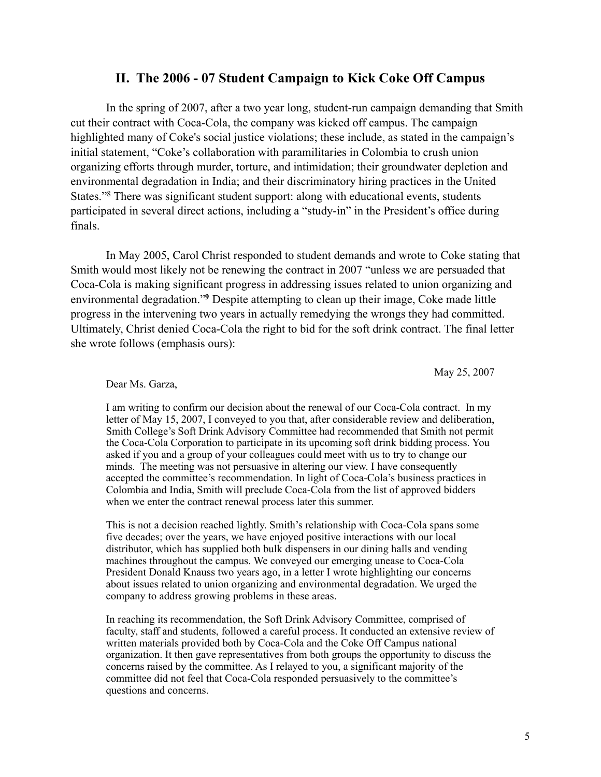## **II. The 2006 - 07 Student Campaign to Kick Coke Off Campus**

In the spring of 2007, after a two year long, student-run campaign demanding that Smith cut their contract with Coca-Cola, the company was kicked off campus. The campaign highlighted many of Coke's social justice violations; these include, as stated in the campaign's initial statement, "Coke's collaboration with paramilitaries in Colombia to crush union organizing efforts through murder, torture, and intimidation; their groundwater depletion and environmental degradation in India; and their discriminatory hiring practices in the United States."[8](#page-20-7) There was significant student support: along with educational events, students participated in several direct actions, including a "study-in" in the President's office during finals.

In May 2005, Carol Christ responded to student demands and wrote to Coke stating that Smith would most likely not be renewing the contract in 2007 "unless we are persuaded that Coca-Cola is making significant progress in addressing issues related to union organizing and environmental degradation."**[9](#page-20-8)** Despite attempting to clean up their image, Coke made little progress in the intervening two years in actually remedying the wrongs they had committed. Ultimately, Christ denied Coca-Cola the right to bid for the soft drink contract. The final letter she wrote follows (emphasis ours):

May 25, 2007

Dear Ms. Garza,

I am writing to confirm our decision about the renewal of our Coca-Cola contract. In my letter of May 15, 2007, I conveyed to you that, after considerable review and deliberation, Smith College's Soft Drink Advisory Committee had recommended that Smith not permit the Coca-Cola Corporation to participate in its upcoming soft drink bidding process. You asked if you and a group of your colleagues could meet with us to try to change our minds. The meeting was not persuasive in altering our view. I have consequently accepted the committee's recommendation. In light of Coca-Cola's business practices in Colombia and India, Smith will preclude Coca-Cola from the list of approved bidders when we enter the contract renewal process later this summer.

This is not a decision reached lightly. Smith's relationship with Coca-Cola spans some five decades; over the years, we have enjoyed positive interactions with our local distributor, which has supplied both bulk dispensers in our dining halls and vending machines throughout the campus. We conveyed our emerging unease to Coca-Cola President Donald Knauss two years ago, in a letter I wrote highlighting our concerns about issues related to union organizing and environmental degradation. We urged the company to address growing problems in these areas.

In reaching its recommendation, the Soft Drink Advisory Committee, comprised of faculty, staff and students, followed a careful process. It conducted an extensive review of written materials provided both by Coca-Cola and the Coke Off Campus national organization. It then gave representatives from both groups the opportunity to discuss the concerns raised by the committee. As I relayed to you, a significant majority of the committee did not feel that Coca-Cola responded persuasively to the committee's questions and concerns.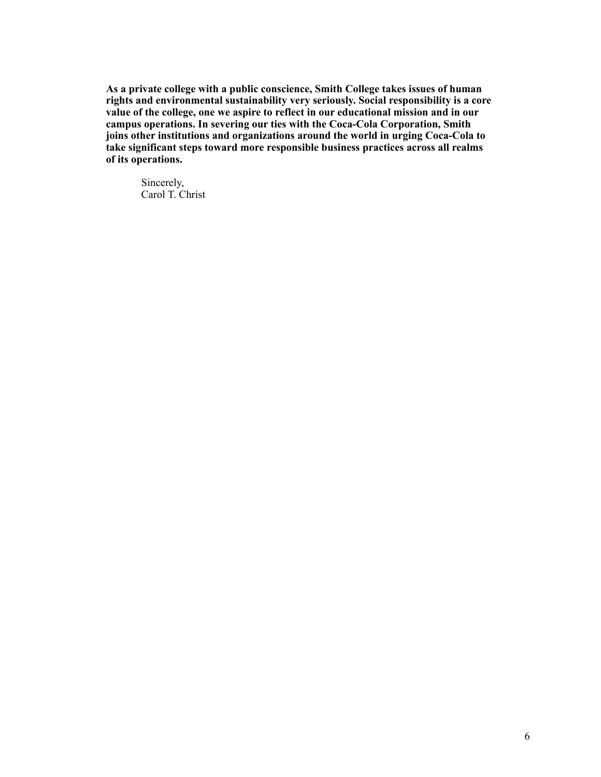**As a private college with a public conscience, Smith College takes issues of human rights and environmental sustainability very seriously. Social responsibility is a core value of the college, one we aspire to reflect in our educational mission and in our campus operations. In severing our ties with the Coca-Cola Corporation, Smith joins other institutions and organizations around the world in urging Coca-Cola to take significant steps toward more responsible business practices across all realms of its operations.**

 Sincerely, Carol T. Christ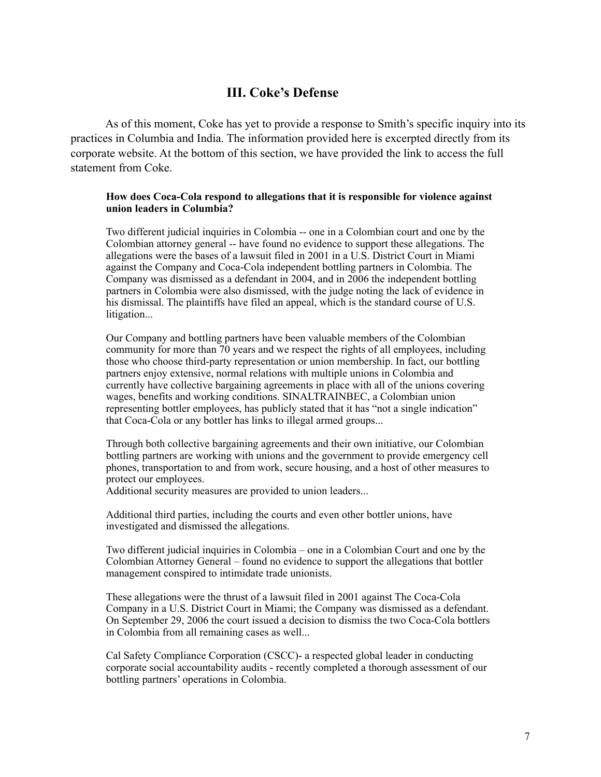## **III. Coke's Defense**

 As of this moment, Coke has yet to provide a response to Smith's specific inquiry into its practices in Columbia and India. The information provided here is excerpted directly from its corporate website. At the bottom of this section, we have provided the link to access the full statement from Coke.

#### **How does Coca-Cola respond to allegations that it is responsible for violence against union leaders in Columbia?**

Two different judicial inquiries in Colombia -- one in a Colombian court and one by the Colombian attorney general -- have found no evidence to support these allegations. The allegations were the bases of a lawsuit filed in 2001 in a U.S. District Court in Miami against the Company and Coca-Cola independent bottling partners in Colombia. The Company was dismissed as a defendant in 2004, and in 2006 the independent bottling partners in Colombia were also dismissed, with the judge noting the lack of evidence in his dismissal. The plaintiffs have filed an appeal, which is the standard course of U.S. litigation...

Our Company and bottling partners have been valuable members of the Colombian community for more than 70 years and we respect the rights of all employees, including those who choose third-party representation or union membership. In fact, our bottling partners enjoy extensive, normal relations with multiple unions in Colombia and currently have collective bargaining agreements in place with all of the unions covering wages, benefits and working conditions. SINALTRAINBEC, a Colombian union representing bottler employees, has [publicly stated](http://www.cokefacts.org/facts/facts_co_keyfacts_sinal.pdf) that it has "not a single indication" that Coca-Cola or any bottler has links to illegal armed groups...

Through both collective bargaining agreements and their own initiative, our Colombian bottling partners are working with unions and the government to provide emergency cell phones, transportation to and from work, secure housing, and a host of other measures to protect our employees.

Additiona[l security measures](http://www.cokefacts.org/facts/facts_co_safety.shtml) are provided to union leaders...

Additional third parties, including the [courts](http://www.cokefacts.org/facts/facts_co_court.shtml) and even other bottler unions, have investigated and dismissed the allegations.

Two different judicial inquiries in Colombia – one in a Colombian Court and one by the Colombian Attorney General – found no evidence to support the allegations that bottler management conspired to intimidate trade unionists.

These allegations were the thrust of a lawsuit filed in 2001 against The Coca-Cola Company in a U.S. District Court in Miami; the Company was dismissed as a defendant. On September 29, 2006 the court issued a decision to dismiss the two Coca-Cola bottlers in Colombia from all remaining cases as well...

[Cal Safety Compliance Corporation \(CSCC\)](http://www.cscc-online.com/)- a respected global leader in conducting corporate social accountability audits - recently completed a thorough assessment of our bottling partners' operations in Colombia.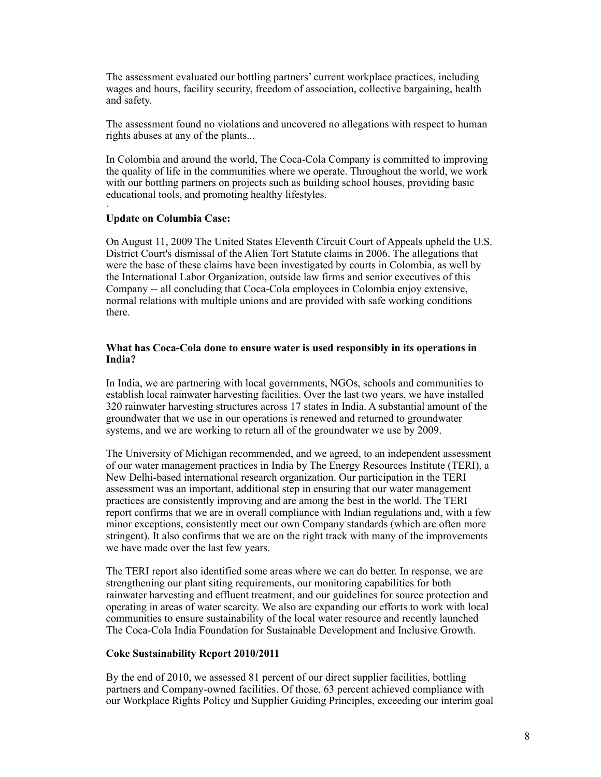The assessment evaluated our bottling partners' current workplace practices, including wages and hours, facility security, freedom of association, collective bargaining, health and safety.

The assessment found no violations and uncovered no allegations with respect to human rights abuses at any of the plants...

In Colombia and around the world, The Coca-Cola Company is committed to improving the quality of life in the communities where we operate. Throughout the world, we work with our bottling partners on projects such as building school houses, providing basic educational tools, and promoting healthy lifestyles.

#### **Update on Columbia Case:**

·

On August 11, 2009 The United States Eleventh Circuit Court of Appeals upheld the U.S. District Court's dismissal of the Alien Tort Statute claims in 2006. The allegations that were the base of these claims have been investigated by courts in Colombia, as well by the International Labor Organization, outside law firms and senior executives of this Company -- all concluding that Coca-Cola employees in Colombia enjoy extensive, normal relations with multiple unions and are provided with safe working conditions there.

#### **What has Coca-Cola done to ensure water is used responsibly in its operations in India?**

In India, we are partnering with local governments, NGOs, schools and communities to establish local rainwater harvesting facilities. Over the last two years, we have installed 320 rainwater harvesting structures across 17 states in India. A substantial amount of the groundwater that we use in our operations is renewed and returned to groundwater systems, and we are working to return all of the groundwater we use by 2009.

The University of Michigan recommended, and we agreed, to an independent assessment of our water management practices in India by The Energy Resources Institute (TERI), a New Delhi-based international research organization. Our participation in the TERI assessment was an important, additional step in ensuring that our water management practices are consistently improving and are among the best in the world. The TERI report confirms that we are in overall compliance with Indian regulations and, with a few minor exceptions, consistently meet our own Company standards (which are often more stringent). It also confirms that we are on the right track with many of the improvements we have made over the last few years.

The TERI report also identified some areas where we can do better. In response, we are strengthening our plant siting requirements, our monitoring capabilities for both rainwater harvesting and effluent treatment, and our guidelines for source protection and operating in areas of water scarcity. We also are expanding our efforts to work with local communities to ensure sustainability of the local water resource and recently launched The Coca-Cola India Foundation for Sustainable Development and Inclusive Growth.

#### **Coke Sustainability Report 2010/2011**

By the end of 2010, we assessed 81 percent of our direct supplier facilities, bottling partners and Company-owned facilities. Of those, 63 percent achieved compliance with our [Workplace Rights Policy](http://www.thecoca-colacompany.com/citizenship/workplace_rights_policy.html) and [Supplier Guiding Principles](http://www.thecoca-colacompany.com/citizenship/supplier_guiding_principles.html), exceeding our interim goal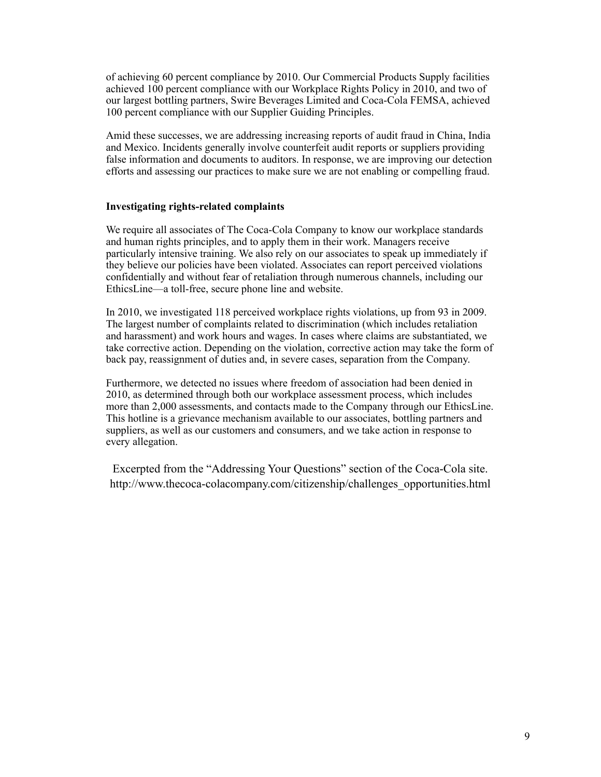of achieving 60 percent compliance by 2010. Our Commercial Products Supply facilities achieved 100 percent compliance with our Workplace Rights Policy in 2010, and two of our largest bottling partners, [Swire Beverages Limited](http://www.swire.com/eng/activities/food_company.php?company=SwireBeveragesLimited) and [Coca-Cola FEMSA,](http://www.coca-colafemsa.com/kof/index_eng.htm) achieved 100 percent compliance with our Supplier Guiding Principles.

Amid these successes, we are addressing increasing reports of audit fraud in China, India and Mexico. Incidents generally involve counterfeit audit reports or suppliers providing false information and documents to auditors. In response, we are improving our detection efforts and assessing our practices to make sure we are not enabling or compelling fraud.

#### **Investigating rights-related complaints**

We require all associates of The Coca-Cola Company to know our workplace standards and human rights principles, and to apply them in their work. Managers receive particularly intensive training. We also rely on our associates to speak up immediately if they believe our policies have been violated. Associates can report perceived violations confidentially and without fear of retaliation through numerous channels, including our [EthicsLine—](https://koethics.alertline.com/gcs/welcome)a toll-free, secure phone line and website.

In 2010, we investigated 118 perceived workplace rights violations, up from 93 in 2009. The largest number of complaints related to discrimination (which includes retaliation and harassment) and work hours and wages. In cases where claims are substantiated, we take corrective action. Depending on the violation, corrective action may take the form of back pay, reassignment of duties and, in severe cases, separation from the Company.

Furthermore, we detected no issues where freedom of association had been denied in 2010, as determined through both our workplace assessment process, which includes more than 2,000 assessments, and contacts made to the Company through our EthicsLine. This hotline is a grievance mechanism available to our associates, bottling partners and suppliers, as well as our customers and consumers, and we take action in response to every allegation.

Excerpted from the "Addressing Your Questions" section of the Coca-Cola site. http://www.thecoca-colacompany.com/citizenship/challenges\_opportunities.html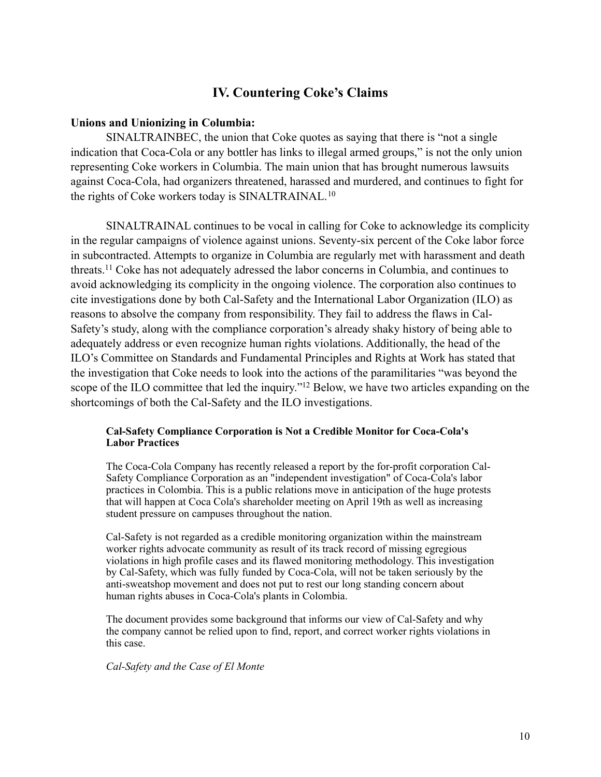## **IV. Countering Coke's Claims**

#### **Unions and Unionizing in Columbia:**

 SINALTRAINBEC, the union that Coke quotes as saying that there is "not a single indication that Coca-Cola or any bottler has links to illegal armed groups," is not the only union representing Coke workers in Columbia. The main union that has brought numerous lawsuits against Coca-Cola, had organizers threatened, harassed and murdered, and continues to fight for the rights of Coke workers today is SINALTRAINAL.[10](#page-20-9)

 SINALTRAINAL continues to be vocal in calling for Coke to acknowledge its complicity in the regular campaigns of violence against unions. Seventy-six percent of the Coke labor force in subcontracted. Attempts to organize in Columbia are regularly met with harassment and death threats.[11](#page-20-10) Coke has not adequately adressed the labor concerns in Columbia, and continues to avoid acknowledging its complicity in the ongoing violence. The corporation also continues to cite investigations done by both Cal-Safety and the International Labor Organization (ILO) as reasons to absolve the company from responsibility. They fail to address the flaws in Cal-Safety's study, along with the compliance corporation's already shaky history of being able to adequately address or even recognize human rights violations. Additionally, the head of the ILO's Committee on Standards and Fundamental Principles and Rights at Work has stated that the investigation that Coke needs to look into the actions of the paramilitaries "was beyond the scope of the ILO committee that led the inquiry."<sup>12</sup> Below, we have two articles expanding on the shortcomings of both the Cal-Safety and the ILO investigations.

#### **Cal-Safety Compliance Corporation is Not a Credible Monitor for Coca-Cola's Labor Practices**

The Coca-Cola Company has recently released a report by the for-profit corporation Cal-Safety Compliance Corporation as an "independent investigation" of Coca-Cola's labor practices in Colombia. This is a public relations move in anticipation of the huge protests that will happen at Coca Cola's shareholder meeting on April 19th as well as increasing student pressure on campuses throughout the nation.

Cal-Safety is not regarded as a credible monitoring organization within the mainstream worker rights advocate community as result of its track record of missing egregious violations in high profile cases and its flawed monitoring methodology. This investigation by Cal-Safety, which was fully funded by Coca-Cola, will not be taken seriously by the anti-sweatshop movement and does not put to rest our long standing concern about human rights abuses in Coca-Cola's plants in Colombia.

The document provides some background that informs our view of Cal-Safety and why the company cannot be relied upon to find, report, and correct worker rights violations in this case.

*Cal-Safety and the Case of El Monte*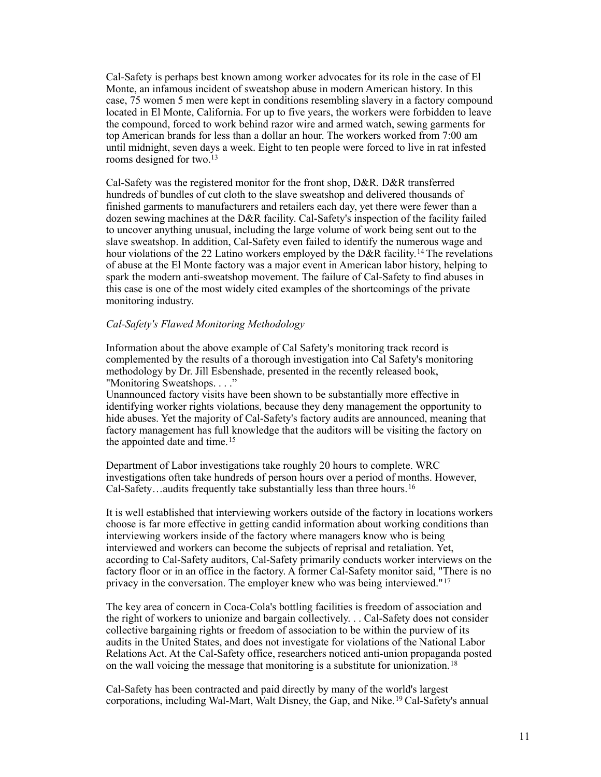Cal-Safety is perhaps best known among worker advocates for its role in the case of El Monte, an infamous incident of sweatshop abuse in modern American history. In this case, 75 women 5 men were kept in conditions resembling slavery in a factory compound located in El Monte, California. For up to five years, the workers were forbidden to leave the compound, forced to work behind razor wire and armed watch, sewing garments for top American brands for less than a dollar an hour. The workers worked from 7:00 am until midnight, seven days a week. Eight to ten people were forced to live in rat infested rooms designed for two.[13](#page-20-12)

Cal-Safety was the registered monitor for the front shop, D&R. D&R transferred hundreds of bundles of cut cloth to the slave sweatshop and delivered thousands of finished garments to manufacturers and retailers each day, yet there were fewer than a dozen sewing machines at the D&R facility. Cal-Safety's inspection of the facility failed to uncover anything unusual, including the large volume of work being sent out to the slave sweatshop. In addition, Cal-Safety even failed to identify the numerous wage and hour violations of the 22 Latino workers employed by the D&R facility.<sup>14</sup> The revelations of abuse at the El Monte factory was a major event in American labor history, helping to spark the modern anti-sweatshop movement. The failure of Cal-Safety to find abuses in this case is one of the most widely cited examples of the shortcomings of the private monitoring industry.

#### *Cal-Safety's Flawed Monitoring Methodology*

Information about the above example of Cal Safety's monitoring track record is complemented by the results of a thorough investigation into Cal Safety's monitoring methodology by Dr. Jill Esbenshade, presented in the recently released book, "Monitoring Sweatshops. . . ."

Unannounced factory visits have been shown to be substantially more effective in identifying worker rights violations, because they deny management the opportunity to hide abuses. Yet the majority of Cal-Safety's factory audits are announced, meaning that factory management has full knowledge that the auditors will be visiting the factory on the appointed date and time.<sup>[15](#page-20-14)</sup>

Department of Labor investigations take roughly 20 hours to complete. WRC investigations often take hundreds of person hours over a period of months. However, Cal-Safety…audits frequently take substantially less than three hours.[16](#page-20-15)

It is well established that interviewing workers outside of the factory in locations workers choose is far more effective in getting candid information about working conditions than interviewing workers inside of the factory where managers know who is being interviewed and workers can become the subjects of reprisal and retaliation. Yet, according to Cal-Safety auditors, Cal-Safety primarily conducts worker interviews on the factory floor or in an office in the factory. A former Cal-Safety monitor said, "There is no privacy in the conversation. The employer knew who was being interviewed."[17](#page-20-16)

The key area of concern in Coca-Cola's bottling facilities is freedom of association and the right of workers to unionize and bargain collectively. . . Cal-Safety does not consider collective bargaining rights or freedom of association to be within the purview of its audits in the United States, and does not investigate for violations of the National Labor Relations Act. At the Cal-Safety office, researchers noticed anti-union propaganda posted on the wall voicing the message that monitoring is a substitute for unionization.[18](#page-20-17)

Cal-Safety has been contracted and paid directly by many of the world's largest corporations, including Wal-Mart, Walt Disney, the Gap, and Nike.[19](#page-20-18) Cal-Safety's annual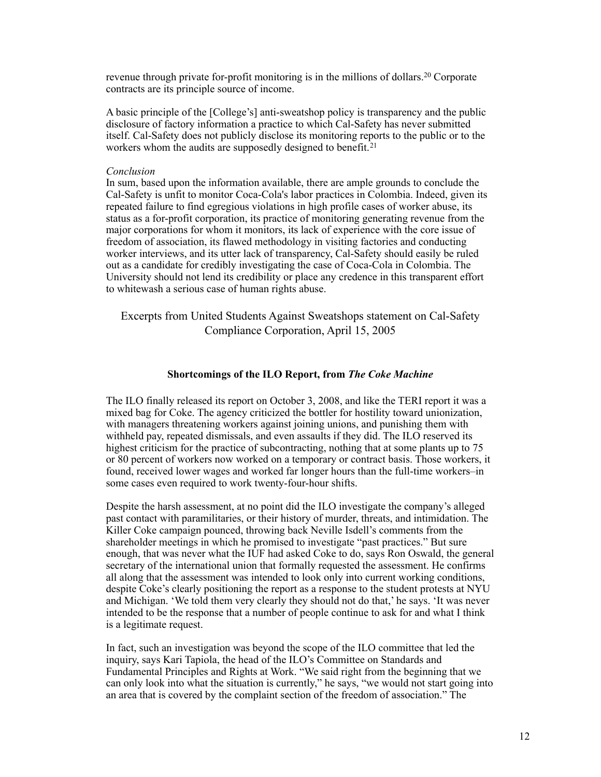revenue through private for-profit monitoring is in the millions of dollars.[20](#page-20-19) Corporate contracts are its principle source of income.

A basic principle of the [College's] anti-sweatshop policy is transparency and the public disclosure of factory information a practice to which Cal-Safety has never submitted itself. Cal-Safety does not publicly disclose its monitoring reports to the public or to the workers whom the audits are supposedly designed to benefit.<sup>[21](#page-20-20)</sup>

#### *Conclusion*

In sum, based upon the information available, there are ample grounds to conclude the Cal-Safety is unfit to monitor Coca-Cola's labor practices in Colombia. Indeed, given its repeated failure to find egregious violations in high profile cases of worker abuse, its status as a for-profit corporation, its practice of monitoring generating revenue from the major corporations for whom it monitors, its lack of experience with the core issue of freedom of association, its flawed methodology in visiting factories and conducting worker interviews, and its utter lack of transparency, Cal-Safety should easily be ruled out as a candidate for credibly investigating the case of Coca-Cola in Colombia. The University should not lend its credibility or place any credence in this transparent effort to whitewash a serious case of human rights abuse.

Excerpts from United Students Against Sweatshops statement on Cal-Safety Compliance Corporation, April 15, 2005

#### **Shortcomings of the ILO Report, from** *The Coke Machine*

The ILO finally released its report on October 3, 2008, and like the TERI report it was a mixed bag for Coke. The agency criticized the bottler for hostility toward unionization, with managers threatening workers against joining unions, and punishing them with withheld pay, repeated dismissals, and even assaults if they did. The ILO reserved its highest criticism for the practice of subcontracting, nothing that at some plants up to 75 or 80 percent of workers now worked on a temporary or contract basis. Those workers, it found, received lower wages and worked far longer hours than the full-time workers–in some cases even required to work twenty-four-hour shifts.

Despite the harsh assessment, at no point did the ILO investigate the company's alleged past contact with paramilitaries, or their history of murder, threats, and intimidation. The Killer Coke campaign pounced, throwing back Neville Isdell's comments from the shareholder meetings in which he promised to investigate "past practices." But sure enough, that was never what the IUF had asked Coke to do, says Ron Oswald, the general secretary of the international union that formally requested the assessment. He confirms all along that the assessment was intended to look only into current working conditions, despite Coke's clearly positioning the report as a response to the student protests at NYU and Michigan. 'We told them very clearly they should not do that,' he says. 'It was never intended to be the response that a number of people continue to ask for and what I think is a legitimate request.

In fact, such an investigation was beyond the scope of the ILO committee that led the inquiry, says Kari Tapiola, the head of the ILO's Committee on Standards and Fundamental Principles and Rights at Work. "We said right from the beginning that we can only look into what the situation is currently," he says, "we would not start going into an area that is covered by the complaint section of the freedom of association." The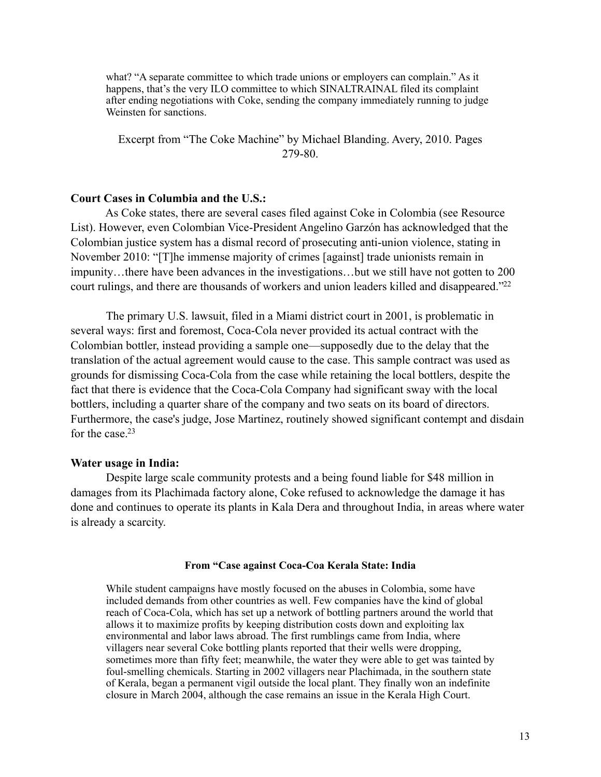what? "A separate committee to which trade unions or employers can complain." As it happens, that's the very ILO committee to which SINALTRAINAL filed its complaint after ending negotiations with Coke, sending the company immediately running to judge Weinsten for sanctions.

Excerpt from "The Coke Machine" by Michael Blanding. Avery, 2010. Pages 279-80.

#### **Court Cases in Columbia and the U.S.:**

 As Coke states, there are several cases filed against Coke in Colombia (see Resource List). However, even Colombian Vice-President Angelino Garzón has acknowledged that the Colombian justice system has a dismal record of prosecuting anti-union violence, stating in November 2010: "[T]he immense majority of crimes [against] trade unionists remain in impunity…there have been advances in the investigations…but we still have not gotten to 200 court rulings, and there are thousands of workers and union leaders killed and disappeared."<sup>22</sup>

The primary U.S. lawsuit, filed in a Miami district court in 2001, is problematic in several ways: first and foremost, Coca-Cola never provided its actual contract with the Colombian bottler, instead providing a sample one—supposedly due to the delay that the translation of the actual agreement would cause to the case. This sample contract was used as grounds for dismissing Coca-Cola from the case while retaining the local bottlers, despite the fact that there is evidence that the Coca-Cola Company had significant sway with the local bottlers, including a quarter share of the company and two seats on its board of directors. Furthermore, the case's judge, Jose Martinez, routinely showed significant contempt and disdain for the case[.23](#page-20-22)

#### **Water usage in India:**

 Despite large scale community protests and a being found liable for \$48 million in damages from its Plachimada factory alone, Coke refused to acknowledge the damage it has done and continues to operate its plants in Kala Dera and throughout India, in areas where water is already a scarcity.

#### **From "Case against Coca-Coa Kerala State: India**

While student campaigns have mostly focused on the abuses in Colombia, some have included demands from other countries as well. Few companies have the kind of global reach of Coca-Cola, which has set up a network of bottling partners around the world that allows it to maximize profits by keeping distribution costs down and exploiting lax environmental and labor laws abroad. The first rumblings came from India, where villagers near several Coke bottling plants reported that their wells were dropping, sometimes more than fifty feet; meanwhile, the water they were able to get was tainted by foul-smelling chemicals. Starting in 2002 villagers near Plachimada, in the southern state of Kerala, began a permanent vigil outside the local plant. They finally won an indefinite closure in March 2004, although the case remains an issue in the Kerala High Court.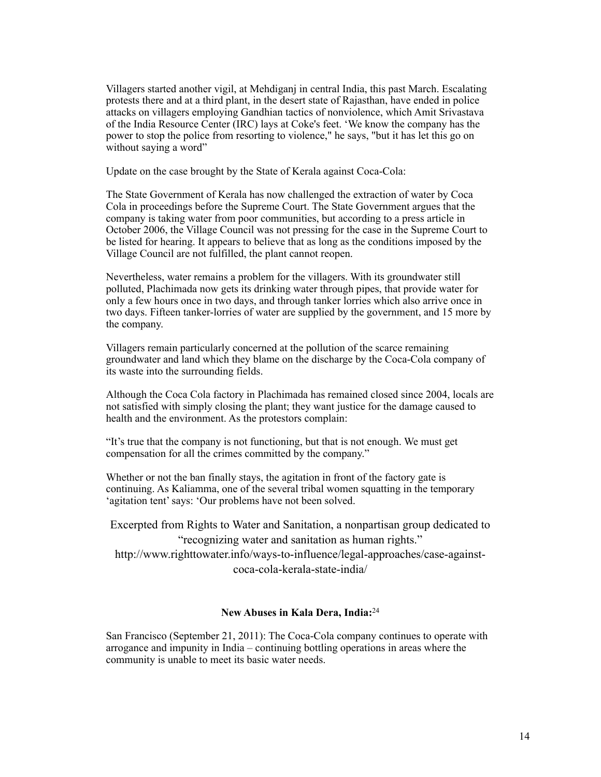Villagers started another vigil, at Mehdiganj in central India, this past March. Escalating protests there and at a third plant, in the desert state of Rajasthan, have ended in police attacks on villagers employing Gandhian tactics of nonviolence, which Amit Srivastava of the India Resource Center (IRC) lays at Coke's feet. 'We know the company has the power to stop the police from resorting to violence," he says, "but it has let this go on without saying a word"

Update on the case brought by the State of Kerala against Coca-Cola:

The State Government of Kerala has now challenged the extraction of water by Coca Cola in proceedings before the Supreme Court. The State Government argues that the company is taking water from poor communities, but according to a press article in October 2006, the Village Council was not pressing for the case in the Supreme Court to be listed for hearing. It appears to believe that as long as the conditions imposed by the Village Council are not fulfilled, the plant cannot reopen.

Nevertheless, water remains a problem for the villagers. With its groundwater still polluted, Plachimada now gets its drinking water through pipes, that provide water for only a few hours once in two days, and through tanker lorries which also arrive once in two days. Fifteen tanker-lorries of water are supplied by the government, and 15 more by the company.

Villagers remain particularly concerned at the pollution of the scarce remaining groundwater and land which they blame on the discharge by the Coca-Cola company of its waste into the surrounding fields.

Although the Coca Cola factory in Plachimada has remained closed since 2004, locals are not satisfied with simply closing the plant; they want justice for the damage caused to health and the environment. As the protestors complain:

"It's true that the company is not functioning, but that is not enough. We must get compensation for all the crimes committed by the company."

Whether or not the ban finally stays, the agitation in front of the factory gate is continuing. As Kaliamma, one of the several tribal women squatting in the temporary 'agitation tent' says: 'Our problems have not been solved.

Excerpted from Rights to Water and Sanitation, a nonpartisan group dedicated to "recognizing water and sanitation as human rights." http://www.righttowater.info/ways-to-influence/legal-approaches/case-againstcoca-cola-kerala-state-india/

#### **New Abuses in Kala Dera, India:**[24](#page-21-0)

San Francisco (September 21, 2011): The Coca-Cola company continues to operate with arrogance and impunity in India – continuing bottling operations in areas where the community is unable to meet its basic water needs.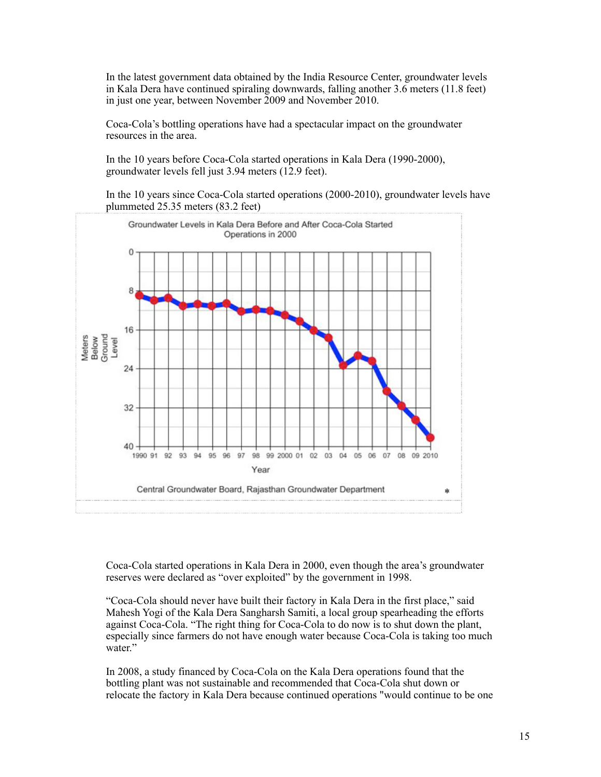In the latest government data obtained by the India Resource Center, groundwater levels in Kala Dera have continued spiraling downwards, falling another 3.6 meters (11.8 feet) in just one year, between November 2009 and November 2010.

Coca-Cola's bottling operations have had a spectacular impact on the groundwater resources in the area.

In the 10 years before Coca-Cola started operations in Kala Dera (1990-2000), groundwater levels fell just 3.94 meters (12.9 feet).

In the 10 years since Coca-Cola started operations (2000-2010), groundwater levels have plummeted 25.35 meters (83.2 feet)



Coca-Cola started operations in Kala Dera in 2000, even though the area's groundwater reserves were declared as "over exploited" by the government in 1998.

"Coca-Cola should never have built their factory in Kala Dera in the first place," said Mahesh Yogi of the Kala Dera Sangharsh Samiti, a local group spearheading the efforts against Coca-Cola. "The right thing for Coca-Cola to do now is to shut down the plant, especially since farmers do not have enough water because Coca-Cola is taking too much water."

In 2008, a [study](http://www.indiaresource.org/campaigns/coke/2008/cokeimplicatedteri.html) financed by Coca-Cola on the Kala Dera operations found that the bottling plant was not sustainable and recommended that Coca-Cola shut down or relocate the factory in Kala Dera because continued operations "would continue to be one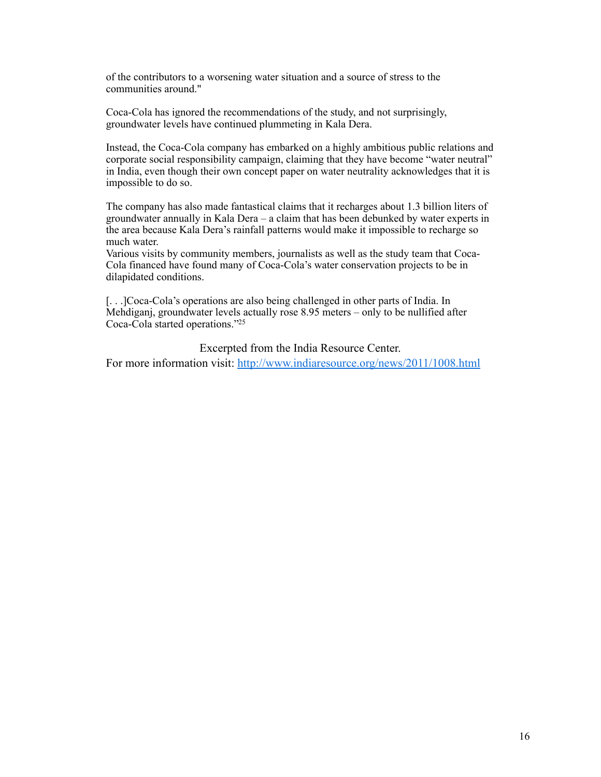of the contributors to a worsening water situation and a source of stress to the communities around."

Coca-Cola has ignored the recommendations of the study, and not surprisingly, groundwater levels have continued plummeting in Kala Dera.

Instead, the Coca-Cola company has embarked on a highly ambitious public relations and corporate social responsibility campaign, claiming that they have become ["water neutral"](http://www.indiaresource.org/campaigns/coke/2008/neutrality.html) in India, even though their own concept paper on water neutrality acknowledges that it is impossible to do so.

The company has also made fantastical claims that it recharges about 1.3 billion liters of groundwater annually in Kala Dera – a claim that has been debunked by water experts in the area because Kala Dera's rainfall patterns would make it impossible to recharge so much water.

Various visits by community members, journalists as well as the study team that Coca-Cola financed have found many of Coca-Cola's water conservation projects to be in dilapidated conditions.

[. . .]Coca-Cola's operations are also being challenged in other parts of India. In [Mehdiganj,](http://www.indiaresource.org/news/2011/1005.html) groundwater levels actually rose  $8.95$  meters – only to be nullified after Coca-Cola started operations.["25](#page-21-1)

Excerpted from the India Resource Center.

For more information visit: <http://www.indiaresource.org/news/2011/1008.html>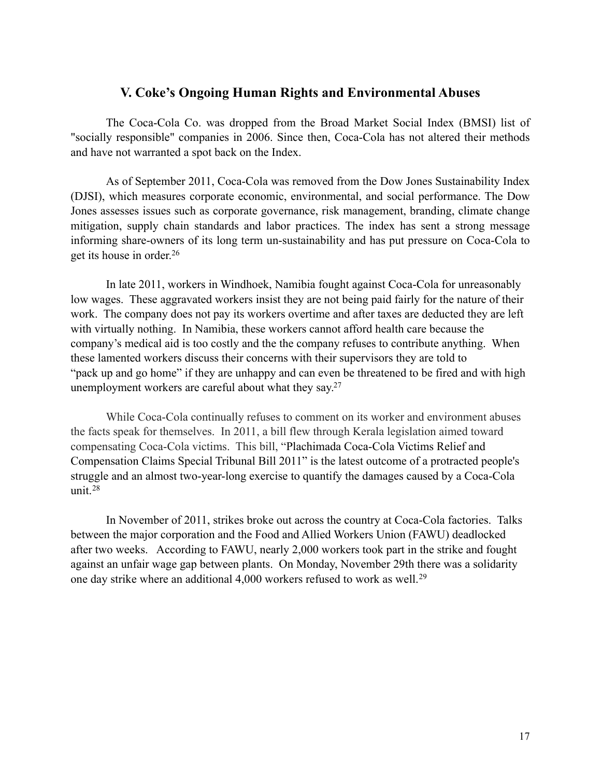## **V. Coke's Ongoing Human Rights and Environmental Abuses**

The Coca-Cola Co. was dropped from the Broad Market Social Index (BMSI) list of "socially responsible" companies in 2006. Since then, Coca-Cola has not altered their methods and have not warranted a spot back on the Index.

As of September 2011, Coca-Cola was removed from the Dow Jones Sustainability Index (DJSI), which measures corporate economic, environmental, and social performance. The Dow Jones assesses issues such as corporate governance, risk management, branding, climate change mitigation, supply chain standards and labor practices. The index has sent a strong message informing share-owners of its long term un-sustainability and has put pressure on Coca-Cola to get its house in order.[26](#page-21-2)

In late 2011, workers in Windhoek, Namibia fought against Coca-Cola for unreasonably low wages. These aggravated workers insist they are not being paid fairly for the nature of their work. The company does not pay its workers overtime and after taxes are deducted they are left with virtually nothing. In Namibia, these workers cannot afford health care because the company's medical aid is too costly and the the company refuses to contribute anything. When these lamented workers discuss their concerns with their supervisors they are told to "pack up and go home" if they are unhappy and can even be threatened to be fired and with high unemployment workers are careful about what they say[.27](#page-21-3)

While Coca-Cola continually refuses to comment on its worker and environment abuses the facts speak for themselves. In 2011, a bill flew through Kerala legislation aimed toward compensating Coca-Cola victims. This bill, "Plachimada Coca-Cola Victims Relief and Compensation Claims Special Tribunal Bill 2011" is the latest outcome of a protracted people's struggle and an almost two-year-long exercise to quantify the damages caused by a Coca-Cola unit.[28](#page-21-4)

 In November of 2011, strikes broke out across the country at Coca-Cola factories. Talks between the major corporation and the Food and Allied Workers Union (FAWU) deadlocked after two weeks. According to FAWU, nearly 2,000 workers took part in the strike and fought against an unfair wage gap between plants. On Monday, November 29th there was a solidarity one day strike where an additional 4,000 workers refused to work as well.[29](#page-21-5)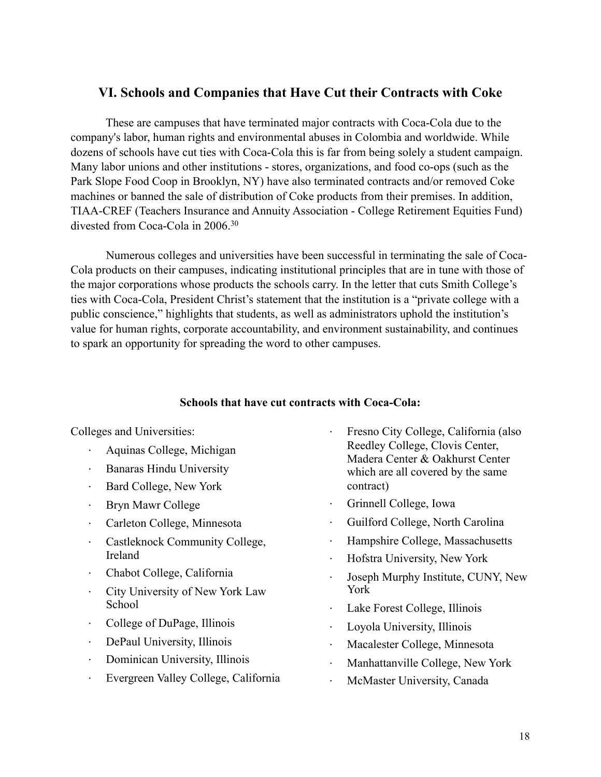## **VI. Schools and Companies that Have Cut their Contracts with Coke**

 These are campuses that have terminated major contracts with Coca-Cola due to the company's labor, human rights and environmental abuses in Colombia and worldwide. While dozens of schools have cut ties with Coca-Cola this is far from being solely a student campaign. Many labor unions and other institutions - stores, organizations, and food co-ops (such as the Park Slope Food Coop in Brooklyn, NY) have also terminated contracts and/or removed Coke machines or banned the sale of distribution of Coke products from their premises. In addition, TIAA-CREF (Teachers Insurance and Annuity Association - College Retirement Equities Fund) divested from Coca-Cola in 2006.[30](#page-21-6)

Numerous colleges and universities have been successful in terminating the sale of Coca-Cola products on their campuses, indicating institutional principles that are in tune with those of the major corporations whose products the schools carry. In the letter that cuts Smith College's ties with Coca-Cola, President Christ's statement that the institution is a "private college with a public conscience," highlights that students, as well as administrators uphold the institution's value for human rights, corporate accountability, and environment sustainability, and continues to spark an opportunity for spreading the word to other campuses.

#### **Schools that have cut contracts with Coca-Cola:**

Colleges and Universities:

- · Aquinas College, Michigan
- Banaras Hindu University
- · Bard College, New York
- · Bryn Mawr College
- · Carleton College, Minnesota
- · Castleknock Community College, Ireland
- · Chabot College, California
- City University of New York Law School
- · College of DuPage, Illinois
- · DePaul University, Illinois
- · Dominican University, Illinois
- · Evergreen Valley College, California
- · Fresno City College, California (also Reedley College, Clovis Center, Madera Center & Oakhurst Center which are all covered by the same contract)
- · Grinnell College, Iowa
- · Guilford College, North Carolina
- · Hampshire College, Massachusetts
- · Hofstra University, New York
- · Joseph Murphy Institute, CUNY, New York
- · Lake Forest College, Illinois
- · Loyola University, Illinois
- · Macalester College, Minnesota
- · Manhattanville College, New York
- · McMaster University, Canada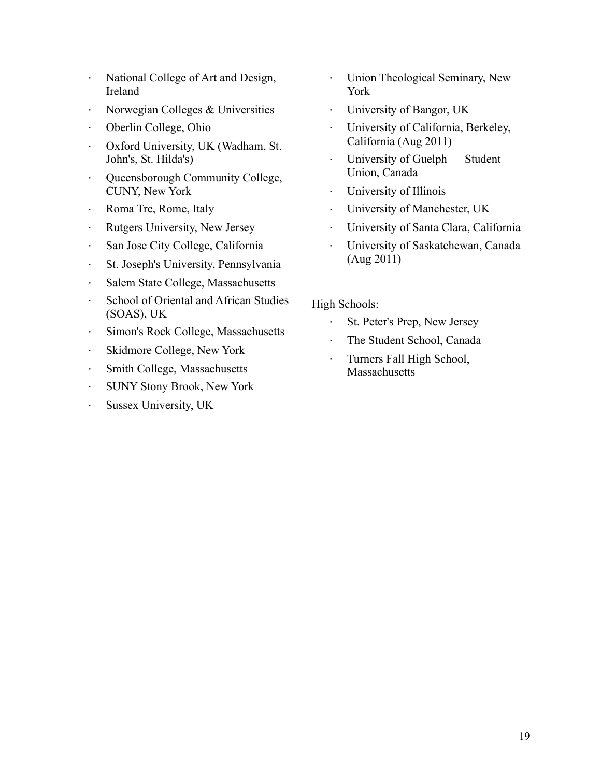- · National College of Art and Design, Ireland
- · Norwegian Colleges & Universities
- · Oberlin College, Ohio
- · Oxford University, UK (Wadham, St. John's, St. Hilda's)
- · Queensborough Community College, CUNY, New York
- · Roma Tre, Rome, Italy
- · Rutgers University, New Jersey
- · San Jose City College, California
- · St. Joseph's University, Pennsylvania
- · Salem State College, Massachusetts
- · School of Oriental and African Studies (SOAS), UK
- · Simon's Rock College, Massachusetts
- · Skidmore College, New York
- · Smith College, Massachusetts
- · SUNY Stony Brook, New York
- · Sussex University, UK
- · Union Theological Seminary, New York
- · University of Bangor, UK
- · University of California, Berkeley, California (Aug 2011)
- · University of Guelph Student Union, Canada
- · University of Illinois
- · University of Manchester, UK
- · University of Santa Clara, California
- · University of Saskatchewan, Canada (Aug 2011)

High Schools:

- St. Peter's Prep, New Jersey
- · The Student School, Canada
- · Turners Fall High School, Massachusetts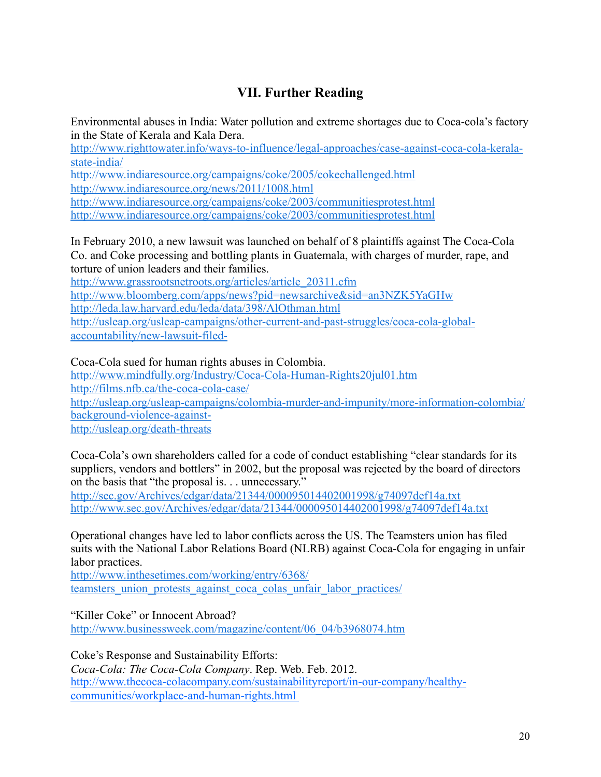# **VII. Further Reading**

Environmental abuses in India: Water pollution and extreme shortages due to Coca-cola's factory in the State of Kerala and Kala Dera.

[http://www.righttowater.info/ways-to-influence/legal-approaches/case-against-coca-cola-kerala](http://www.righttowater.info/ways-to-influence/legal-approaches/case-against-coca-cola-kerala-state-india/)[state-india/](http://www.righttowater.info/ways-to-influence/legal-approaches/case-against-coca-cola-kerala-state-india/)

<http://www.indiaresource.org/campaigns/coke/2005/cokechallenged.html> <http://www.indiaresource.org/news/2011/1008.html>

<http://www.indiaresource.org/campaigns/coke/2003/communitiesprotest.html> <http://www.indiaresource.org/campaigns/coke/2003/communitiesprotest.html>

In February 2010, a new lawsuit was launched on behalf of 8 plaintiffs against The Coca-Cola Co. and Coke processing and bottling plants in Guatemala, with charges of murder, rape, and torture of union leaders and their families.

[http://www.grassrootsnetroots.org/articles/article\\_20311.cfm](http://www.grassrootsnetroots.org/articles/article_20311.cfm)

<http://www.bloomberg.com/apps/news?pid=newsarchive&sid=an3NZK5YaGHw>

<http://leda.law.harvard.edu/leda/data/398/AlOthman.html>

[http://usleap.org/usleap-campaigns/other-current-and-past-struggles/coca-cola-global](http://usleap.org/usleap-campaigns/other-current-and-past-struggles/coca-cola-global-accountability/new-lawsuit-filed-)[accountability/new-lawsuit-filed-](http://usleap.org/usleap-campaigns/other-current-and-past-struggles/coca-cola-global-accountability/new-lawsuit-filed-)

Coca-Cola sued for human rights abuses in Colombia. <http://www.mindfully.org/Industry/Coca-Cola-Human-Rights20jul01.htm> <http://films.nfb.ca/the-coca-cola-case/> [http://usleap.org/usleap-campaigns/colombia-murder-and-impunity/more-information-colombia/](http://usleap.org/usleap-campaigns/colombia-murder-and-impunity/more-information-colombia/background-violence-against-) [background-violence-against](http://usleap.org/usleap-campaigns/colombia-murder-and-impunity/more-information-colombia/background-violence-against-)<http://usleap.org/death-threats>

Coca-Cola's own shareholders called for a code of conduct establishing "clear standards for its suppliers, vendors and bottlers" in 2002, but the proposal was rejected by the board of directors on the basis that "the proposal is. . . unnecessary."

<http://sec.gov/Archives/edgar/data/21344/000095014402001998/g74097def14a.txt> <http://www.sec.gov/Archives/edgar/data/21344/000095014402001998/g74097def14a.txt>

Operational changes have led to labor conflicts across the US. The Teamsters union has filed suits with the National Labor Relations Board (NLRB) against Coca-Cola for engaging in unfair labor practices.

[http://www.inthesetimes.com/working/entry/6368/](http://www.inthesetimes.com/working/entry/6368/teamsters_union_protests_against_coca_colas_unfair_labor_practices/) [teamsters\\_union\\_protests\\_against\\_coca\\_colas\\_unfair\\_labor\\_practices/](http://www.inthesetimes.com/working/entry/6368/teamsters_union_protests_against_coca_colas_unfair_labor_practices/)

"Killer Coke" or Innocent Abroad? [http://www.businessweek.com/magazine/content/06\\_04/b3968074.htm](http://www.businessweek.com/magazine/content/06_04/b3968074.htm)

Coke's Response and Sustainability Efforts:

*Coca-Cola: The Coca-Cola Company*. Rep. Web. Feb. 2012. http://www.thecoca-colacompany.com/sustainabilityreport/in-our-company/healthycommunities/workplace-and-human-rights.html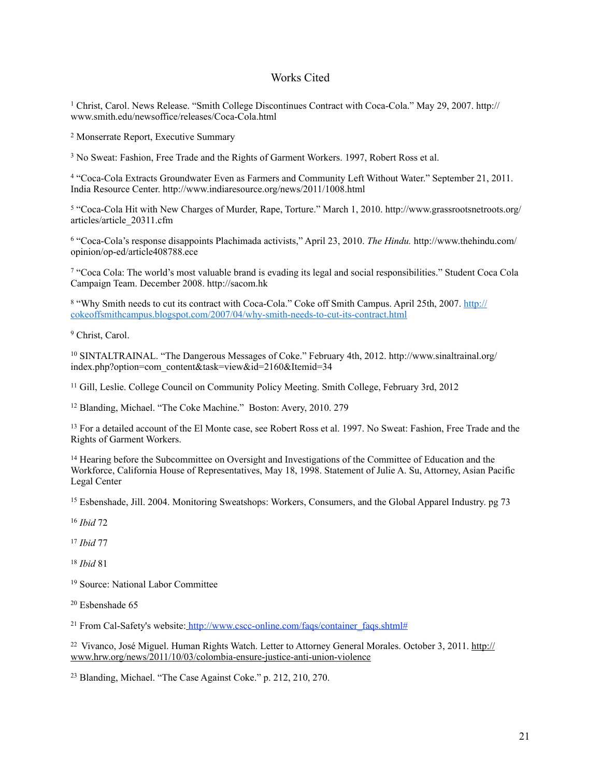#### Works Cited

<span id="page-20-0"></span>1 Christ, Carol. News Release. "Smith College Discontinues Contract with Coca-Cola." May 29, 2007. http:// www.smith.edu/newsoffice/releases/Coca-Cola.html

<span id="page-20-1"></span>2 Monserrate Report, Executive Summary

<span id="page-20-2"></span>3 No Sweat: Fashion, Free Trade and the Rights of Garment Workers. 1997, Robert Ross et al.

<span id="page-20-3"></span>4 "Coca-Cola Extracts Groundwater Even as Farmers and Community Left Without Water." September 21, 2011. India Resource Center. http://www.indiaresource.org/news/2011/1008.html

<span id="page-20-4"></span>5 "Coca-Cola Hit with New Charges of Murder, Rape, Torture." March 1, 2010. http://www.grassrootsnetroots.org/ articles/article\_20311.cfm

<span id="page-20-5"></span>6 "Coca-Cola's response disappoints Plachimada activists," April 23, 2010. *The Hindu.* http://www.thehindu.com/ opinion/op-ed/article408788.ece

<span id="page-20-6"></span>7 "Coca Cola: The world's most valuable brand is evading its legal and social responsibilities." Student Coca Cola Campaign Team. December 2008. http://sacom.hk

<span id="page-20-7"></span>8 "Why Smith needs to cut its contract with Coca-Cola." Coke off Smith Campus. April 25th, 2007. [http://](http://cokeoffsmithcampus.blogspot.com/2007/04/why-smith-needs-to-cut-its-contract.html) [cokeoffsmithcampus.blogspot.com/2007/04/why-smith-needs-to-cut-its-contract.html](http://cokeoffsmithcampus.blogspot.com/2007/04/why-smith-needs-to-cut-its-contract.html)

<span id="page-20-8"></span><sup>9</sup> Christ, Carol.

<span id="page-20-9"></span><sup>10</sup> SINTALTRAINAL. "The Dangerous Messages of Coke." February 4th, 2012. http://www.sinaltrainal.org/ index.php?option=com\_content&task=view&id=2160&Itemid=34

<span id="page-20-10"></span><sup>11</sup> Gill, Leslie. College Council on Community Policy Meeting. Smith College, February 3rd, 2012

<span id="page-20-11"></span>12 Blanding, Michael. "The Coke Machine." Boston: Avery, 2010. 279

<span id="page-20-12"></span><sup>13</sup> For a detailed account of the El Monte case, see Robert Ross et al. 1997. No Sweat: Fashion, Free Trade and the Rights of Garment Workers.

<span id="page-20-13"></span><sup>14</sup> Hearing before the Subcommittee on Oversight and Investigations of the Committee of Education and the Workforce, California House of Representatives, May 18, 1998. Statement of Julie A. Su, Attorney, Asian Pacific Legal Center

<span id="page-20-14"></span><sup>15</sup> Esbenshade, Jill. 2004. Monitoring Sweatshops: Workers, Consumers, and the Global Apparel Industry. pg 73

<span id="page-20-15"></span><sup>16</sup> *Ibid* 72

<span id="page-20-16"></span><sup>17</sup> *Ibid* 77

<span id="page-20-17"></span><sup>18</sup> *Ibid* 81

<span id="page-20-18"></span><sup>19</sup> Source: National Labor Committee

<span id="page-20-19"></span>20 Esbenshade 65

<span id="page-20-20"></span><sup>21</sup> From Cal-Safety's website: [http://www.cscc-online.com/faqs/container\\_faqs.shtml#](http://www.cscc-online.com/faqs/container_faqs.shtml)

<span id="page-20-21"></span>22 Vivanco, José Miguel. Human Rights Watch. Letter to Attorney General Morales. October 3, 2011. [http://](http://www.hrw.org/news/2011/10/03/colombia-ensure-justice-anti-union-violence) [www.hrw.org/news/2011/10/03/colombia-ensure-justice-anti-union-violence](http://www.hrw.org/news/2011/10/03/colombia-ensure-justice-anti-union-violence)

<span id="page-20-22"></span><sup>23</sup> Blanding, Michael. "The Case Against Coke." p. 212, 210, 270.